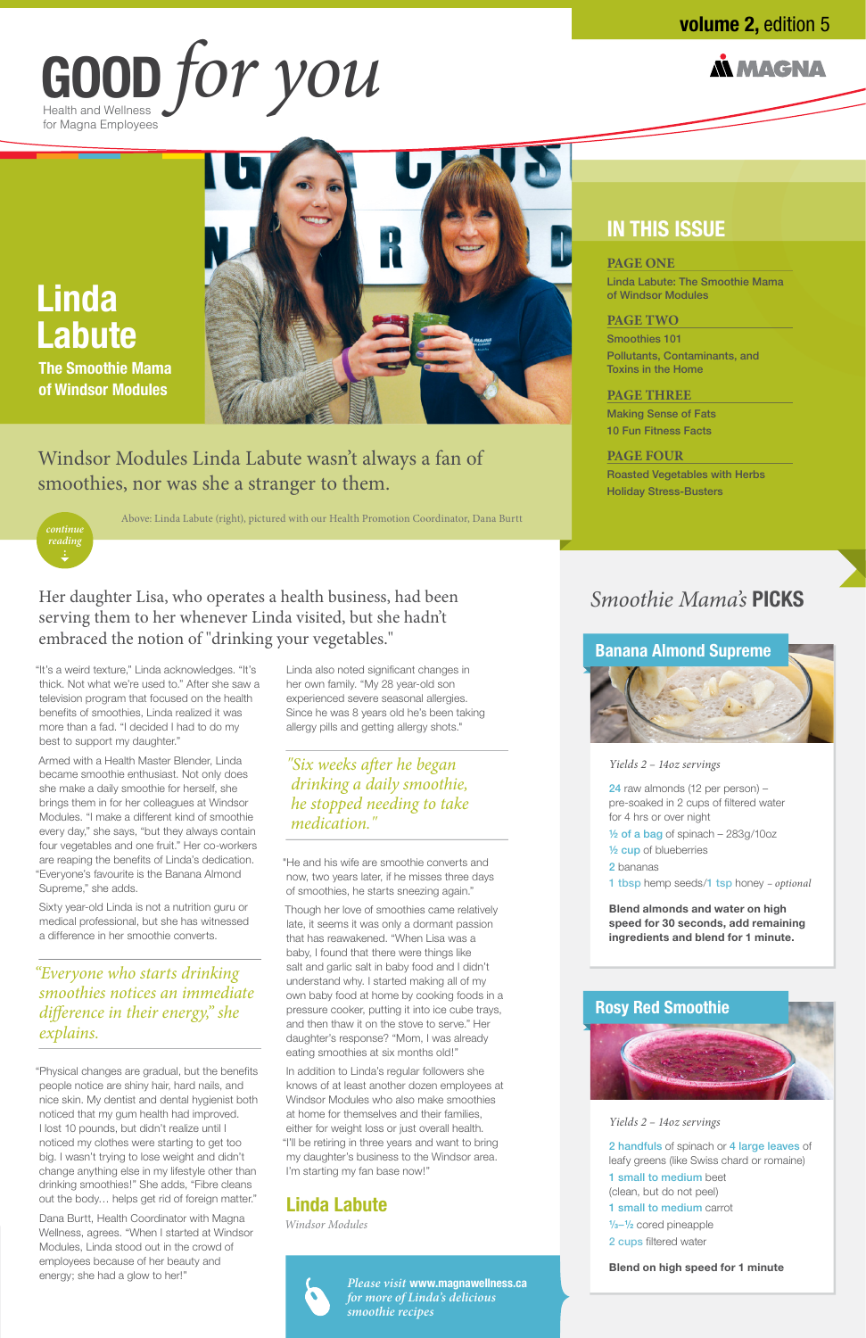## **IN THIS ISSUE**

# GOOD for you for Magna Employees

## **N MAGNA**

## **volume 2,** edition 5

"It's a weird texture," Linda acknowledges. "It's thick. Not what we're used to." After she saw a television program that focused on the health benefits of smoothies, Linda realized it was more than a fad. "I decided I had to do my best to support my daughter."

Armed with a Health Master Blender, Linda became smoothie enthusiast. Not only does she make a daily smoothie for herself, she brings them in for her colleagues at Windsor Modules. "I make a different kind of smoothie every day," she says, "but they always contain four vegetables and one fruit." Her co-workers are reaping the benefits of Linda's dedication. "Everyone's favourite is the Banana Almond Supreme," she adds.

Sixty year-old Linda is not a nutrition guru or medical professional, but she has witnessed a difference in her smoothie converts.

### "Everyone who starts drinking smoothies notices an immediate difference in their energy," she explains.

### "Six weeks after he began drinking a daily smoothie, he stopped needing to take medication."

"Physical changes are gradual, but the benefits people notice are shiny hair, hard nails, and nice skin. My dentist and dental hygienist both noticed that my gum health had improved. I lost 10 pounds, but didn't realize until I noticed my clothes were starting to get too big. I wasn't trying to lose weight and didn't change anything else in my lifestyle other than drinking smoothies!" She adds, "Fibre cleans out the body… helps get rid of foreign matter."

Dana Burtt, Health Coordinator with Magna Wellness, agrees. "When I started at Windsor Modules, Linda stood out in the crowd of employees because of her beauty and energy; she had a glow to her!"

Her daughter Lisa, who operates a health business, had been serving them to her whenever Linda visited, but she hadn't embraced the notion of "drinking your vegetables." **Banana Almond Supreme** 

> Linda also noted significant changes in her own family. "My 28 year-old son experienced severe seasonal allergies. Since he was 8 years old he's been taking allergy pills and getting allergy shots."

"He and his wife are smoothie converts and now, two years later, if he misses three days of smoothies, he starts sneezing again."

Though her love of smoothies came relatively late, it seems it was only a dormant passion that has reawakened. "When Lisa was a baby, I found that there were things like salt and garlic salt in baby food and I didn't understand why. I started making all of my own baby food at home by cooking foods in a pressure cooker, putting it into ice cube trays, and then thaw it on the stove to serve." Her daughter's response? "Mom, I was already eating smoothies at six months old!"

In addition to Linda's regular followers she knows of at least another dozen employees at Windsor Modules who also make smoothies at home for themselves and their families, either for weight loss or just overall health. "I'll be retiring in three years and want to bring my daughter's business to the Windsor area. I'm starting my fan base now!"

## **Linda Labute**

Windsor Modules



#### **PAGE ONE**

Linda Labute: The Smoothie Mama of Windsor Modules

#### **PAGE TWO**

Smoothies 101 Pollutants, Contaminants, and Toxins in the Home

#### **PAGE THREE**

Making Sense of Fats 10 Fun Fitness Facts

#### **PAGE FOUR**

Roasted Vegetables with Herbs Holiday Stress-Busters

**reading**

# **Linda Labute**

**The Smoothie Mama of Windsor Modules**



## **Rosy Red Smoothie**



#### Yields 2 – 14oz servings

24 raw almonds (12 per person) – pre-soaked in 2 cups of filtered water for 4 hrs or over night

½ of a bag of spinach – 283g/10oz

½ cup of blueberries

2 bananas

1 tbsp hemp seeds/1 tsp honey - optional

**Blend almonds and water on high speed for 30 seconds, add remaining ingredients and blend for 1 minute.**

#### Yields 2 – 14oz servings

2 handfuls of spinach or 4 large leaves of leafy greens (like Swiss chard or romaine) 1 small to medium beet (clean, but do not peel) 1 small to medium carrot **1** /**3**–**<sup>1</sup>** /**2** cored pineapple 2 cups filtered water

#### **Blend on high speed for 1 minute**

## Smoothie Mama's **PICKS**



**Please visit www.magnawellness.ca for more of Linda's delicious smoothie recipes**

Above: Linda Labute (right), pictured with our Health Promotion Coordinator, Dana Burtt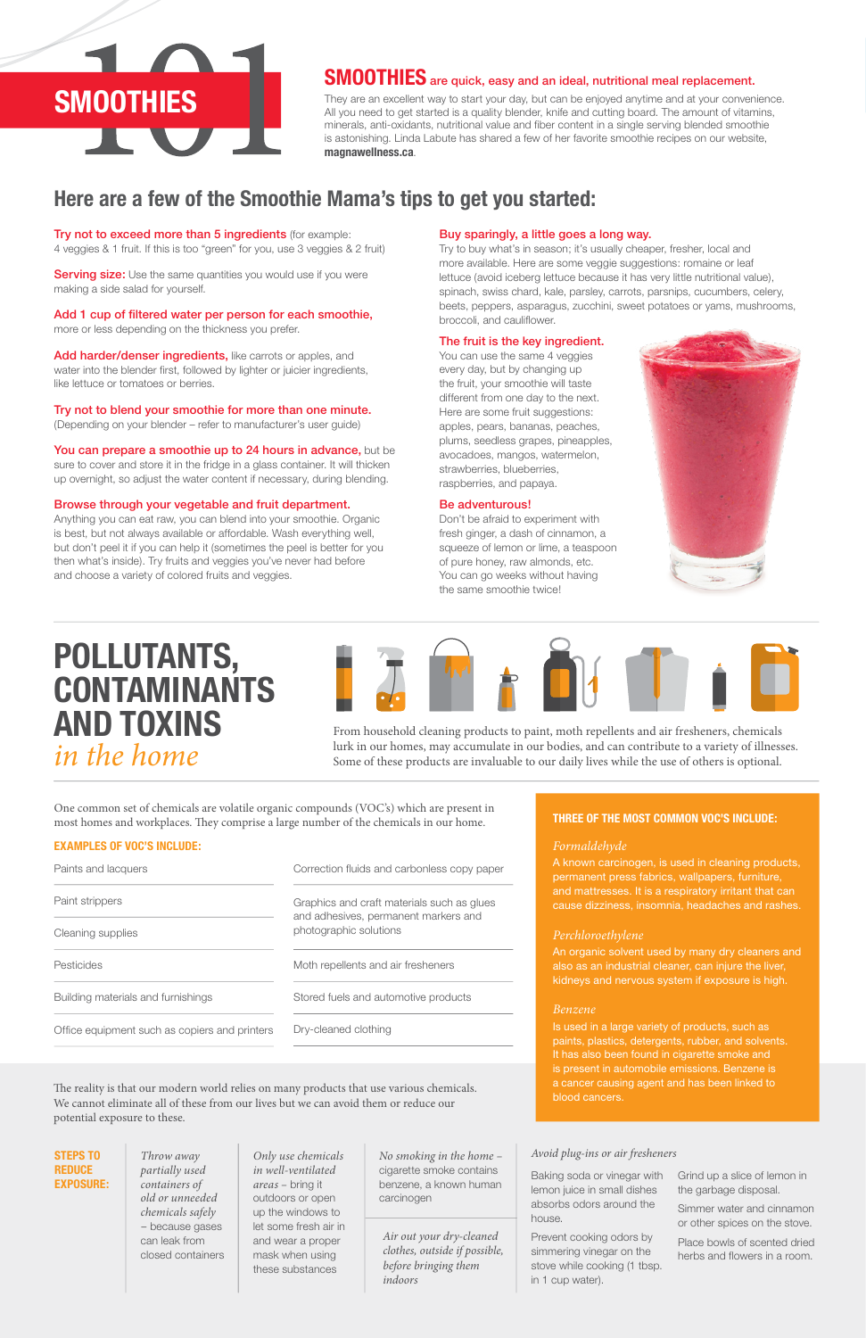Only use chemicals in well-ventilated areas – bring it outdoors or open up the windows to let some fresh air in and wear a proper mask when using these substances

Try not to exceed more than 5 ingredients (for example: 4 veggies & 1 fruit. If this is too "green" for you, use 3 veggies & 2 fruit)

**Serving size:** Use the same quantities you would use if you were making a side salad for yourself.

Add harder/denser ingredients, like carrots or apples, and water into the blender first, followed by lighter or juicier ingredients, like lettuce or tomatoes or berries.

Add 1 cup of filtered water per person for each smoothie, more or less depending on the thickness you prefer.

You can prepare a smoothie up to 24 hours in advance, but be sure to cover and store it in the fridge in a glass container. It will thicken up overnight, so adjust the water content if necessary, during blending.

Try not to blend your smoothie for more than one minute. (Depending on your blender – refer to manufacturer's user guide)

#### Browse through your vegetable and fruit department.

Anything you can eat raw, you can blend into your smoothie. Organic is best, but not always available or affordable. Wash everything well, but don't peel it if you can help it (sometimes the peel is better for you then what's inside). Try fruits and veggies you've never had before and choose a variety of colored fruits and veggies.

#### Buy sparingly, a little goes a long way.

Try to buy what's in season; it's usually cheaper, fresher, local and more available. Here are some veggie suggestions: romaine or leaf lettuce (avoid iceberg lettuce because it has very little nutritional value), spinach, swiss chard, kale, parsley, carrots, parsnips, cucumbers, celery, beets, peppers, asparagus, zucchini, sweet potatoes or yams, mushrooms, broccoli, and cauliflower.

One common set of chemicals are volatile organic compounds (VOC's) which are present in<br>most homes and workplaces. They comprise a large number of the chemicals in our home most homes and workplaces. Tey comprise a large number of the chemicals in our home.

The reality is that our modern world relies on many products that use various chemicals. We cannot eliminate all of these from our lives but we can avoid them or reduce our potential exposure to these.

#### The fruit is the key ingredient.

An organic solvent used by many dry cleaners and also as an industrial cleaner, can injure the liver, kidneys and nervous system if exposure is high.

You can use the same 4 veggies every day, but by changing up the fruit, your smoothie will taste different from one day to the next. Here are some fruit suggestions: apples, pears, bananas, peaches, plums, seedless grapes, pineapples, avocadoes, mangos, watermelon, strawberries, blueberries, raspberries, and papaya.

#### Be adventurous!

Don't be afraid to experiment with fresh ginger, a dash of cinnamon, a squeeze of lemon or lime, a teaspoon of pure honey, raw almonds, etc. You can go weeks without having the same smoothie twice!



## **POLLUTANTS, CONTAMINANTS AND TOXINS** in the home



From household cleaning products to paint, moth repellents and air fresheners, chemicals lurk in our homes, may accumulate in our bodies, and can contribute to a variety of illnesses. Some of these products are invaluable to our daily lives while the use of others is optional.

## **SMOOTHIES** are quick, easy and an ideal, nutritional meal replacement.

They are an excellent way to start your day, but can be enjoyed anytime and at your convenience. All you need to get started is a quality blender, knife and cutting board. The amount of vitamins, minerals, anti-oxidants, nutritional value and fiber content in a single serving blended smoothie is astonishing. Linda Labute has shared a few of her favorite smoothie recipes on our website, **magnawellness.ca**.

#### **EXAMPLES OF VOC'S INCLUDE:**

#### Formaldehyde

A known carcinogen, is used in cleaning products, permanent press fabrics, wallpapers, furniture, and mattresses. It is a respiratory irritant that can cause dizziness, insomnia, headaches and rashes.

#### Perchloroethylene

#### Benzene

Is used in a large variety of products, such as paints, plastics, detergents, rubber, and solvents. It has also been found in cigarette smoke and is present in automobile emissions. Benzene is a cancer causing agent and has been linked to blood cancers.

Throw away partially used containers of old or unneeded chemicals safely – because gases can leak from closed containers

No smoking in the home – cigarette smoke contains benzene, a known human carcinogen

Air out your dry-cleaned clothes, outside if possible, before bringing them indoors

## **Here are a few of the Smoothie Mama's tips to get you started:**

Paints and lacquers

Paint strippers

Cleaning supplies

Pesticides

#### Building materials and furnishings

Office equipment such as copiers and printers

Correction fluids and carbonless copy paper

Graphics and craft materials such as glues and adhesives, permanent markers and photographic solutions

Moth repellents and air fresheners

Stored fuels and automotive products

Dry-cleaned clothing

**STEPS TO REDUCE EXPOSURE:**

#### Avoid plug-ins or air fresheners

Baking soda or vinegar with lemon juice in small dishes absorbs odors around the house.

Prevent cooking odors by simmering vinegar on the stove while cooking (1 tbsp. in 1 cup water).

Grind up a slice of lemon in the garbage disposal.

Simmer water and cinnamon or other spices on the stove.

Place bowls of scented dried herbs and flowers in a room.

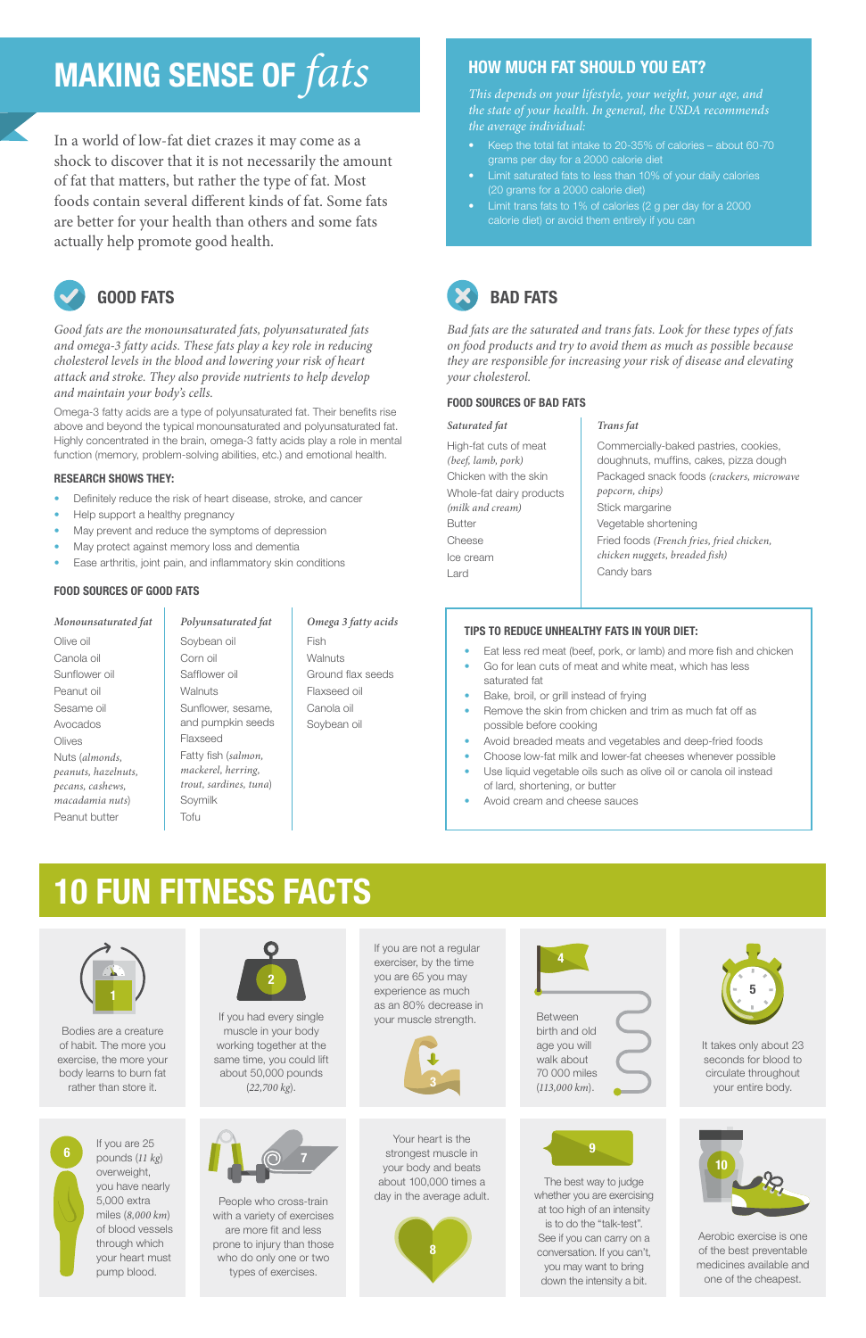# **10 FUN FITNESS FACTS**



# **MAKING SENSE OF** fats

In a world of low-fat diet crazes it may come as a shock to discover that it is not necessarily the amount of fat that matters, but rather the type of fat. Most foods contain several diferent kinds of fat. Some fats are better for your health than others and some fats actually help promote good health.



## **GOOD FATS**

Good fats are the monounsaturated fats, polyunsaturated fats and omega-3 fatty acids. These fats play a key role in reducing cholesterol levels in the blood and lowering your risk of heart attack and stroke. They also provide nutrients to help develop and maintain your body's cells.

Omega-3 fatty acids are a type of polyunsaturated fat. Their benefits rise above and beyond the typical monounsaturated and polyunsaturated fat. Highly concentrated in the brain, omega-3 fatty acids play a role in mental function (memory, problem-solving abilities, etc.) and emotional health.

#### **RESEARCH SHOWS THEY:**

- **•** Definitely reduce the risk of heart disease, stroke, and cancer
- **•** Help support a healthy pregnancy
- **•** May prevent and reduce the symptoms of depression
- **•** May protect against memory loss and dementia
- **•** Ease arthritis, joint pain, and inflammatory skin conditions

experience as much as an 80% decrease in your muscle strength. Between

#### **FOOD SOURCES OF GOOD FATS**

## **BAD FATS**

Bad fats are the saturated and trans fats. Look for these types of fats on food products and try to avoid them as much as possible because they are responsible for increasing your risk of disease and elevating your cholesterol.

#### **FOOD SOURCES OF BAD FATS**

#### **TIPS TO REDUCE UNHEALTHY FATS IN YOUR DIET:**

- **•** Eat less red meat (beef, pork, or lamb) and more fish and chicken
- **•** Go for lean cuts of meat and white meat, which has less saturated fat
- **•** Bake, broil, or grill instead of frying
- **•** Remove the skin from chicken and trim as much fat off as possible before cooking
- **•** Avoid breaded meats and vegetables and deep-fried foods
- **•** Choose low-fat milk and lower-fat cheeses whenever possible
- **•** Use liquid vegetable oils such as olive oil or canola oil instead of lard, shortening, or butter
- **•** Avoid cream and cheese sauces

Bodies are a creature of habit. The more you exercise, the more your body learns to burn fat rather than store it.



If you are not a regular exerciser, by the time you are 65 you may

> birth and old age you will walk about 70 000 miles (113,000 km).

If you had every single muscle in your body working together at the same time, you could lift about 50,000 pounds (22,700 kg).

It takes only about 23 seconds for blood to circulate throughout your entire body.



If you are 25 overweight, you have nearly 5,000 extra miles (8,000 km) of blood vessels through which your heart must pump blood.

Your heart is the strongest muscle in your body and beats about 100,000 times a day in the average adult.

The best way to judge whether you are exercising at too high of an intensity is to do the "talk-test". See if you can carry on a conversation. If you can't, you may want to bring down the intensity a bit.



People who cross-train with a variety of exercises are more fit and less prone to injury than those who do only one or two types of exercises.

Aerobic exercise is one of the best preventable medicines available and one of the cheapest.











**9**





## **HOW MUCH FAT SHOULD YOU EAT?**

This depends on your lifestyle, your weight, your age, and the state of your health. In general, the USDA recommends the average individual:

- Keep the total fat intake to 20-35% of calories about 60-70 grams per day for a 2000 calorie diet
- Limit saturated fats to less than 10% of your daily calories (20 grams for a 2000 calorie diet)
- Limit trans fats to 1% of calories (2 g per day for a 2000 calorie diet) or avoid them entirely if you can

| Monounsaturated fat                                                                           | Polyunsaturated fat                                                                    | Omega 3 fatty acids |
|-----------------------------------------------------------------------------------------------|----------------------------------------------------------------------------------------|---------------------|
| Olive oil                                                                                     | Soybean oil                                                                            | Fish                |
| Canola oil                                                                                    | Corn oil                                                                               | Walnuts             |
| Sunflower oil                                                                                 | Safflower oil                                                                          | Ground flax seeds   |
| Peanut oil                                                                                    | Walnuts                                                                                | Flaxseed oil        |
| Sesame oil                                                                                    | Sunflower, sesame,                                                                     | Canola oil          |
| Avocados                                                                                      | and pumpkin seeds                                                                      | Soybean oil         |
| Olives                                                                                        | Flaxseed                                                                               |                     |
| Nuts (almonds,<br>peanuts, hazelnuts,<br>pecans, cashews,<br>macadamia nuts)<br>Peanut butter | Fatty fish (salmon,<br>mackerel, herring,<br>trout, sardines, tuna)<br>Soymilk<br>Tofu |                     |

**Saturated fat** High-fat cuts of meat (beef, lamb, pork) Chicken with the skin Whole-fat dairy products (milk and cream) Butter Cheese Ice cream Lard

#### **Trans fat**

Commercially-baked pastries, cookies, doughnuts, muffins, cakes, pizza dough Packaged snack foods (crackers, microwave popcorn, chips) Stick margarine Vegetable shortening Fried foods (French fries, fried chicken, chicken nuggets, breaded fish) Candy bars